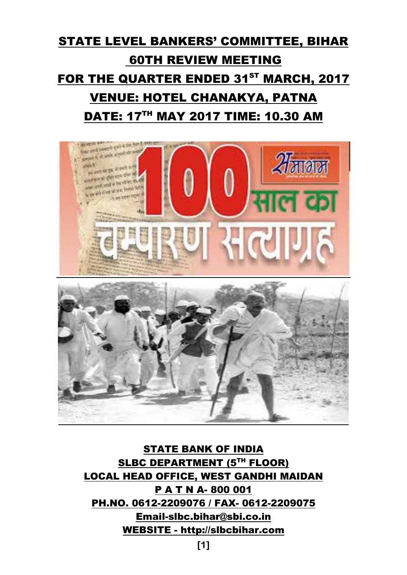# STATE LEVEL BANKERS' COMMITTEE, BIHAR 60TH REVIEW MEETING FOR THE QUARTER ENDED 31<sup>ST</sup> MARCH, 2017 VENUE: HOTEL CHANAKYA, PATNA DATE: 17TH MAY 2017 TIME: 10.30 AM



STATE BANK OF INDIA SLBC DEPARTMENT (5<sup>TH</sup> FLOOR) LOCAL HEAD OFFICE, WEST GANDHI MAIDAN P A T N A- 800 001 PH.NO. 0612-2209076 / FAX- 0612-2209075 [Email-slbc.bihar@sbi.co.in](mailto:Email-slbc.bihar@sbi.co.in) WEBSITE - [http://slbcbihar.com](http://slbcbihar.com/)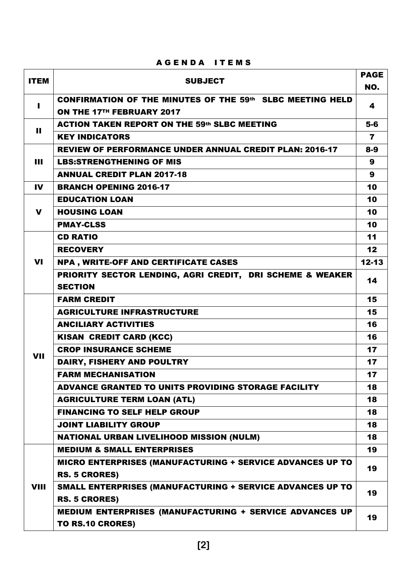| <b>ITEM</b>  | <b>SUBJECT</b>                                                                         | <b>PAGE</b><br>NO. |
|--------------|----------------------------------------------------------------------------------------|--------------------|
| п            | CONFIRMATION OF THE MINUTES OF THE 59th SLBC MEETING HELD<br>ON THE 17TH FEBRUARY 2017 | 4                  |
|              | <b>ACTION TAKEN REPORT ON THE 59th SLBC MEETING</b>                                    | $5-6$              |
| $\mathbf{H}$ | <b>KEY INDICATORS</b>                                                                  | 7                  |
|              | <b>REVIEW OF PERFORMANCE UNDER ANNUAL CREDIT PLAN: 2016-17</b>                         | $8-9$              |
| Ш            | <b>LBS:STRENGTHENING OF MIS</b>                                                        | 9                  |
|              | <b>ANNUAL CREDIT PLAN 2017-18</b>                                                      | $\boldsymbol{9}$   |
| IV           | <b>BRANCH OPENING 2016-17</b>                                                          | 10                 |
|              | <b>EDUCATION LOAN</b>                                                                  | 10                 |
| $\mathbf v$  | <b>HOUSING LOAN</b>                                                                    | 10                 |
|              | <b>PMAY-CLSS</b>                                                                       | 10                 |
|              | <b>CD RATIO</b>                                                                        | 11                 |
|              | <b>RECOVERY</b>                                                                        | 12                 |
| <b>VI</b>    | NPA, WRITE-OFF AND CERTIFICATE CASES                                                   | $12 - 13$          |
|              | PRIORITY SECTOR LENDING, AGRI CREDIT, DRI SCHEME & WEAKER<br><b>SECTION</b>            | 14                 |
|              | <b>FARM CREDIT</b>                                                                     | 15                 |
|              | <b>AGRICULTURE INFRASTRUCTURE</b>                                                      | 15                 |
|              | <b>ANCILIARY ACTIVITIES</b>                                                            | 16                 |
|              | <b>KISAN CREDIT CARD (KCC)</b>                                                         | 16                 |
| <b>VII</b>   | <b>CROP INSURANCE SCHEME</b>                                                           | 17                 |
|              | DAIRY, FISHERY AND POULTRY                                                             | 17                 |
|              | <b>FARM MECHANISATION</b>                                                              | 17                 |
|              | <b>ADVANCE GRANTED TO UNITS PROVIDING STORAGE FACILITY</b>                             | 18                 |
|              | <b>AGRICULTURE TERM LOAN (ATL)</b>                                                     | 18                 |
|              | <b>FINANCING TO SELF HELP GROUP</b>                                                    | 18                 |
|              | <b>JOINT LIABILITY GROUP</b>                                                           | 18                 |
|              | <b>NATIONAL URBAN LIVELIHOOD MISSION (NULM)</b>                                        | 18                 |
|              | <b>MEDIUM &amp; SMALL ENTERPRISES</b>                                                  | 19                 |
|              | <b>MICRO ENTERPRISES (MANUFACTURING + SERVICE ADVANCES UP TO</b>                       | 19                 |
|              | <b>RS. 5 CRORES)</b>                                                                   |                    |
| <b>VIII</b>  | SMALL ENTERPRISES (MANUFACTURING + SERVICE ADVANCES UP TO<br><b>RS. 5 CRORES)</b>      | 19                 |
|              | MEDIUM ENTERPRISES (MANUFACTURING + SERVICE ADVANCES UP<br>TO RS.10 CRORES)            | 19                 |

## AGENDA ITEMS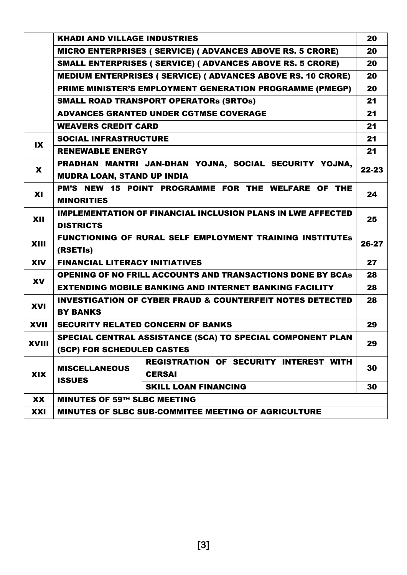|              | <b>KHADI AND VILLAGE INDUSTRIES</b>                                |                                                                      | 20    |  |  |  |
|--------------|--------------------------------------------------------------------|----------------------------------------------------------------------|-------|--|--|--|
|              |                                                                    | <b>MICRO ENTERPRISES ( SERVICE) ( ADVANCES ABOVE RS. 5 CRORE)</b>    | 20    |  |  |  |
|              |                                                                    | SMALL ENTERPRISES ( SERVICE) ( ADVANCES ABOVE RS. 5 CRORE)           | 20    |  |  |  |
|              |                                                                    | <b>MEDIUM ENTERPRISES ( SERVICE) ( ADVANCES ABOVE RS. 10 CRORE)</b>  | 20    |  |  |  |
|              |                                                                    | PRIME MINISTER'S EMPLOYMENT GENERATION PROGRAMME (PMEGP)             | 20    |  |  |  |
|              |                                                                    | <b>SMALL ROAD TRANSPORT OPERATORS (SRTOS)</b>                        | 21    |  |  |  |
|              |                                                                    | <b>ADVANCES GRANTED UNDER CGTMSE COVERAGE</b>                        | 21    |  |  |  |
|              | <b>WEAVERS CREDIT CARD</b>                                         |                                                                      | 21    |  |  |  |
| $\mathbf{X}$ | <b>SOCIAL INFRASTRUCTURE</b>                                       |                                                                      | 21    |  |  |  |
|              | <b>RENEWABLE ENERGY</b>                                            |                                                                      | 21    |  |  |  |
| X            | PRADHAN MANTRI JAN-DHAN YOJNA, SOCIAL SECURITY YOJNA,              |                                                                      |       |  |  |  |
|              | 22-23<br><b>MUDRA LOAN, STAND UP INDIA</b>                         |                                                                      |       |  |  |  |
| <b>XI</b>    | PM'S NEW 15 POINT PROGRAMME FOR THE WELFARE OF THE                 |                                                                      |       |  |  |  |
|              | <b>MINORITIES</b>                                                  |                                                                      |       |  |  |  |
| XII          | <b>IMPLEMENTATION OF FINANCIAL INCLUSION PLANS IN LWE AFFECTED</b> |                                                                      |       |  |  |  |
|              | <b>DISTRICTS</b>                                                   |                                                                      | 25    |  |  |  |
| XIII         |                                                                    | <b>FUNCTIONING OF RURAL SELF EMPLOYMENT TRAINING INSTITUTES</b>      | 26-27 |  |  |  |
|              | (RSETIS)                                                           |                                                                      |       |  |  |  |
| <b>XIV</b>   | <b>FINANCIAL LITERACY INITIATIVES</b>                              |                                                                      | 27    |  |  |  |
| <b>XV</b>    |                                                                    | <b>OPENING OF NO FRILL ACCOUNTS AND TRANSACTIONS DONE BY BCAS</b>    | 28    |  |  |  |
|              |                                                                    | <b>EXTENDING MOBILE BANKING AND INTERNET BANKING FACILITY</b>        | 28    |  |  |  |
| <b>XVI</b>   |                                                                    | <b>INVESTIGATION OF CYBER FRAUD &amp; COUNTERFEIT NOTES DETECTED</b> | 28    |  |  |  |
|              | <b>BY BANKS</b>                                                    |                                                                      |       |  |  |  |
| <b>XVII</b>  |                                                                    | <b>SECURITY RELATED CONCERN OF BANKS</b>                             | 29    |  |  |  |
| <b>XVIII</b> |                                                                    | SPECIAL CENTRAL ASSISTANCE (SCA) TO SPECIAL COMPONENT PLAN           | 29    |  |  |  |
|              | (SCP) FOR SCHEDULED CASTES                                         |                                                                      |       |  |  |  |
|              | <b>MISCELLANEOUS</b>                                               | <b>REGISTRATION OF SECURITY INTEREST WITH</b>                        | 30    |  |  |  |
| <b>XIX</b>   | <b>ISSUES</b>                                                      | <b>CERSAI</b>                                                        |       |  |  |  |
|              |                                                                    | <b>SKILL LOAN FINANCING</b>                                          | 30    |  |  |  |
| XX           | <b>MINUTES OF 59TH SLBC MEETING</b>                                |                                                                      |       |  |  |  |
| XXI          | <b>MINUTES OF SLBC SUB-COMMITEE MEETING OF AGRICULTURE</b>         |                                                                      |       |  |  |  |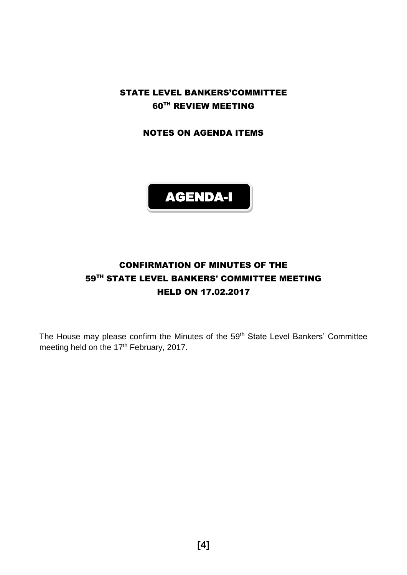STATE LEVEL BANKERS'COMMITTEE 60TH REVIEW MEETING

NOTES ON AGENDA ITEMS



# CONFIRMATION OF MINUTES OF THE 59<sup>TH</sup> STATE LEVEL BANKERS' COMMITTEE MEETING HELD ON 17.02.2017

The House may please confirm the Minutes of the 59<sup>th</sup> State Level Bankers' Committee meeting held on the 17<sup>th</sup> February, 2017.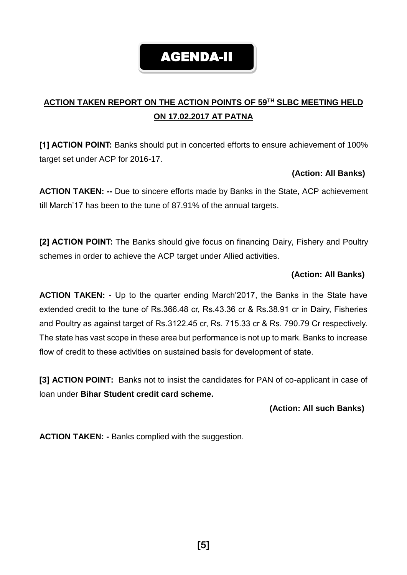# AGENDA-II

# **ACTION TAKEN REPORT ON THE ACTION POINTS OF 59TH SLBC MEETING HELD ON 17.02.2017 AT PATNA**

**[1] ACTION POINT:** Banks should put in concerted efforts to ensure achievement of 100% target set under ACP for 2016-17.

#### **(Action: All Banks)**

**ACTION TAKEN: --** Due to sincere efforts made by Banks in the State, ACP achievement till March'17 has been to the tune of 87.91% of the annual targets.

**[2] ACTION POINT:** The Banks should give focus on financing Dairy, Fishery and Poultry schemes in order to achieve the ACP target under Allied activities.

#### **(Action: All Banks)**

**ACTION TAKEN: -** Up to the quarter ending March'2017, the Banks in the State have extended credit to the tune of Rs.366.48 cr, Rs.43.36 cr & Rs.38.91 cr in Dairy, Fisheries and Poultry as against target of Rs.3122.45 cr, Rs. 715.33 cr & Rs. 790.79 Cr respectively. The state has vast scope in these area but performance is not up to mark. Banks to increase flow of credit to these activities on sustained basis for development of state.

**[3] ACTION POINT:** Banks not to insist the candidates for PAN of co-applicant in case of loan under **Bihar Student credit card scheme.**

#### **(Action: All such Banks)**

**ACTION TAKEN: -** Banks complied with the suggestion.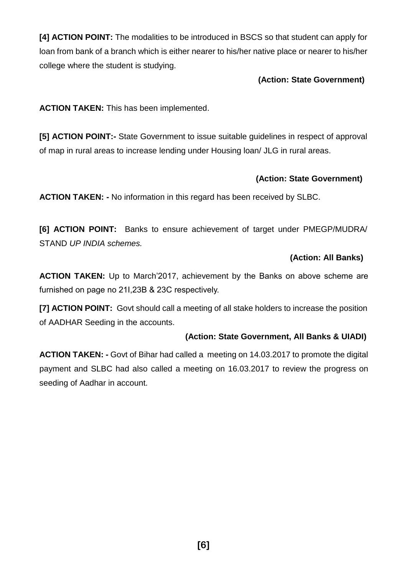**[4] ACTION POINT:** The modalities to be introduced in BSCS so that student can apply for loan from bank of a branch which is either nearer to his/her native place or nearer to his/her college where the student is studying.

#### **(Action: State Government)**

**ACTION TAKEN:** This has been implemented.

**[5] ACTION POINT:-** State Government to issue suitable guidelines in respect of approval of map in rural areas to increase lending under Housing loan/ JLG in rural areas.

#### **(Action: State Government)**

**ACTION TAKEN: -** No information in this regard has been received by SLBC.

**[6] ACTION POINT:** Banks to ensure achievement of target under PMEGP/MUDRA/ STAND *UP INDIA schemes.*

#### **(Action: All Banks)**

**ACTION TAKEN:** Up to March'2017, achievement by the Banks on above scheme are furnished on page no 21I,23B & 23C respectively.

**[7] ACTION POINT:** Govt should call a meeting of all stake holders to increase the position of AADHAR Seeding in the accounts.

#### **(Action: State Government, All Banks & UIADI)**

**ACTION TAKEN: -** Govt of Bihar had called a meeting on 14.03.2017 to promote the digital payment and SLBC had also called a meeting on 16.03.2017 to review the progress on seeding of Aadhar in account.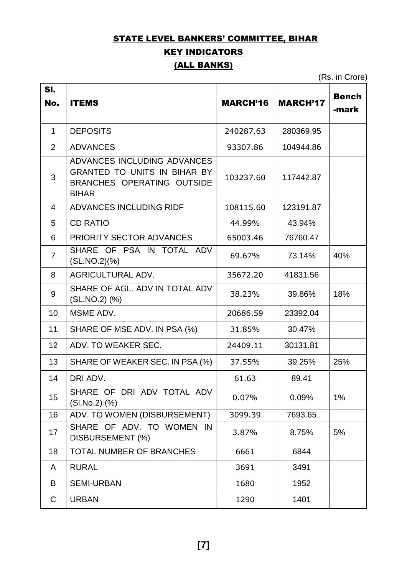# STATE LEVEL BANKERS' COMMITTEE, BIHAR

# KEY INDICATORS

# (ALL BANKS)

(Rs. in Crore)

| SI.            |                                                                                                                  |                 |                 |                       |
|----------------|------------------------------------------------------------------------------------------------------------------|-----------------|-----------------|-----------------------|
| No.            | <b>ITEMS</b>                                                                                                     | <b>MARCH'16</b> | <b>MARCH'17</b> | <b>Bench</b><br>-mark |
| 1              | <b>DEPOSITS</b>                                                                                                  | 240287.63       | 280369.95       |                       |
| $\overline{2}$ | <b>ADVANCES</b>                                                                                                  | 93307.86        | 104944.86       |                       |
| 3              | ADVANCES INCLUDING ADVANCES<br><b>GRANTED TO UNITS IN BIHAR BY</b><br>BRANCHES OPERATING OUTSIDE<br><b>BIHAR</b> | 103237.60       | 117442.87       |                       |
| 4              | ADVANCES INCLUDING RIDF                                                                                          | 108115.60       | 123191.87       |                       |
| 5              | <b>CD RATIO</b>                                                                                                  | 44.99%          | 43.94%          |                       |
| 6              | <b>PRIORITY SECTOR ADVANCES</b>                                                                                  | 65003.46        | 76760.47        |                       |
| $\overline{7}$ | SHARE OF PSA IN TOTAL ADV<br>(SL.NO.2)(%)                                                                        | 69.67%          | 73.14%          | 40%                   |
| 8              | <b>AGRICULTURAL ADV.</b>                                                                                         | 35672.20        | 41831.56        |                       |
| 9              | SHARE OF AGL, ADV IN TOTAL ADV<br>(SL.NO.2) (%)                                                                  | 38.23%          | 39.86%          | 18%                   |
| 10             | MSME ADV.                                                                                                        | 20686.59        | 23392.04        |                       |
| 11             | SHARE OF MSE ADV. IN PSA (%)                                                                                     | 31.85%          | 30.47%          |                       |
| 12             | ADV. TO WEAKER SEC.                                                                                              | 24409.11        | 30131.81        |                       |
| 13             | SHARE OF WEAKER SEC. IN PSA (%)                                                                                  | 37.55%          | 39.25%          | 25%                   |
| 14             | DRI ADV.                                                                                                         | 61.63           | 89.41           |                       |
| 15             | SHARE OF DRI ADV TOTAL ADV<br>(SI.No.2) (%)                                                                      | 0.07%           | 0.09%           | 1%                    |
| 16             | ADV. TO WOMEN (DISBURSEMENT)                                                                                     | 3099.39         | 7693.65         |                       |
| 17             | SHARE OF ADV. TO WOMEN IN<br>DISBURSEMENT (%)                                                                    | 3.87%           | 8.75%           | 5%                    |
| 18             | <b>TOTAL NUMBER OF BRANCHES</b>                                                                                  | 6661            | 6844            |                       |
| A              | <b>RURAL</b>                                                                                                     | 3691            | 3491            |                       |
| B              | <b>SEMI-URBAN</b>                                                                                                | 1680            | 1952            |                       |
| C              | <b>URBAN</b>                                                                                                     | 1290            | 1401            |                       |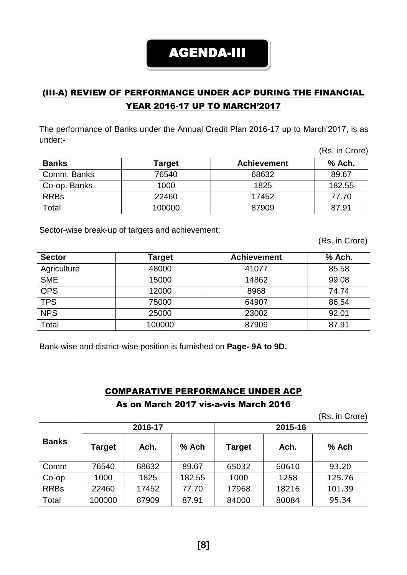# AGENDA-III

# (III-A) REVIEW OF PERFORMANCE UNDER ACP DURING THE FINANCIAL YEAR 2016-17 UP TO MARCH'2017

The performance of Banks under the Annual Credit Plan 2016-17 up to March'2017, is as under:-

|              |        |                    | (Rs. in Crore) |
|--------------|--------|--------------------|----------------|
| <b>Banks</b> | Target | <b>Achievement</b> | % Ach.         |
| Comm. Banks  | 76540  | 68632              | 89.67          |
| Co-op. Banks | 1000   | 1825               | 182.55         |
| <b>RRBs</b>  | 22460  | 17452              | 77.70          |
| Total        | 100000 | 87909              | 87.91          |

Sector-wise break-up of targets and achievement:

(Rs. in Crore)

| <b>Sector</b> | Target | <b>Achievement</b> | % Ach. |
|---------------|--------|--------------------|--------|
| Agriculture   | 48000  | 41077              | 85.58  |
| <b>SME</b>    | 15000  | 14862              | 99.08  |
| <b>OPS</b>    | 12000  | 8968               | 74.74  |
| <b>TPS</b>    | 75000  | 64907              | 86.54  |
| <b>NPS</b>    | 25000  | 23002              | 92.01  |
| Total         | 100000 | 87909              | 87.91  |

Bank-wise and district-wise position is furnished on **Page- 9A to 9D.**

## COMPARATIVE PERFORMANCE UNDER ACP As on March 2017 vis-a-vis March 2016

(Rs. in Crore)

|              |        | 2016-17 |         |               | 2015-16 |        |
|--------------|--------|---------|---------|---------------|---------|--------|
| <b>Banks</b> | Target | Ach.    | $%$ Ach | <b>Target</b> | Ach.    | % Ach  |
| Comm         | 76540  | 68632   | 89.67   | 65032         | 60610   | 93.20  |
| $Co$ -op     | 1000   | 1825    | 182.55  | 1000          | 1258    | 125.76 |
| <b>RRBs</b>  | 22460  | 17452   | 77.70   | 17968         | 18216   | 101.39 |
| Total        | 100000 | 87909   | 87.91   | 84000         | 80084   | 95.34  |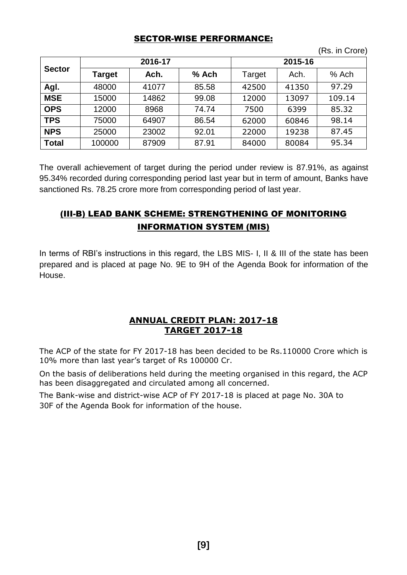#### SECTOR-WISE PERFORMANCE:

(Rs. in Crore)

| <b>Sector</b> |        | 2016-17 |       | 2015-16 |       |         |
|---------------|--------|---------|-------|---------|-------|---------|
|               | Target | Ach.    | % Ach | Target  | Ach.  | $%$ Ach |
| Agl.          | 48000  | 41077   | 85.58 | 42500   | 41350 | 97.29   |
| <b>MSE</b>    | 15000  | 14862   | 99.08 | 12000   | 13097 | 109.14  |
| <b>OPS</b>    | 12000  | 8968    | 74.74 | 7500    | 6399  | 85.32   |
| <b>TPS</b>    | 75000  | 64907   | 86.54 | 62000   | 60846 | 98.14   |
| <b>NPS</b>    | 25000  | 23002   | 92.01 | 22000   | 19238 | 87.45   |
| <b>Total</b>  | 100000 | 87909   | 87.91 | 84000   | 80084 | 95.34   |

The overall achievement of target during the period under review is 87.91%, as against 95.34% recorded during corresponding period last year but in term of amount, Banks have sanctioned Rs. 78.25 crore more from corresponding period of last year.

# (III-B) LEAD BANK SCHEME: STRENGTHENING OF MONITORING INFORMATION SYSTEM (MIS)

In terms of RBI's instructions in this regard, the LBS MIS- I, II & III of the state has been prepared and is placed at page No. 9E to 9H of the Agenda Book for information of the House.

#### **ANNUAL CREDIT PLAN: 2017-18 TARGET 2017-18**

The ACP of the state for FY 2017-18 has been decided to be Rs.110000 Crore which is 10% more than last year's target of Rs 100000 Cr.

On the basis of deliberations held during the meeting organised in this regard, the ACP has been disaggregated and circulated among all concerned.

The Bank-wise and district-wise ACP of FY 2017-18 is placed at page No. 30A to 30F of the Agenda Book for information of the house.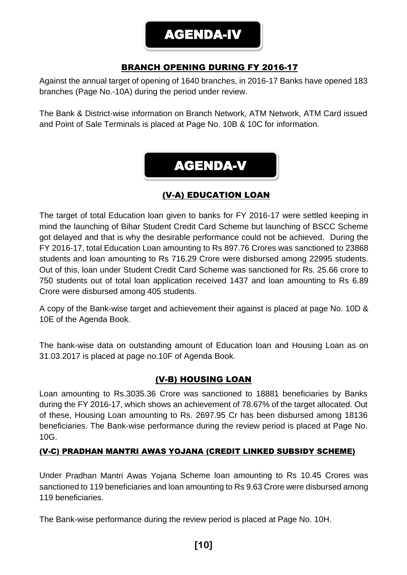# AGENDA-IV

# BRANCH OPENING DURING FY 2016-17

Against the annual target of opening of 1640 branches, in 2016-17 Banks have opened 183 branches (Page No.-10A) during the period under review.

The Bank & District-wise information on Branch Network, ATM Network, ATM Card issued and Point of Sale Terminals is placed at Page No. 10B & 10C for information.

# AGENDA-V

# (V-A) EDUCATION LOAN

The target of total Education loan given to banks for FY 2016-17 were settled keeping in mind the launching of Bihar Student Credit Card Scheme but launching of BSCC Scheme got delayed and that is why the desirable performance could not be achieved. During the FY 2016-17, total Education Loan amounting to Rs 897.76 Crores was sanctioned to 23868 students and loan amounting to Rs 716.29 Crore were disbursed among 22995 students. Out of this, loan under Student Credit Card Scheme was sanctioned for Rs. 25.66 crore to 750 students out of total loan application received 1437 and loan amounting to Rs 6.89 Crore were disbursed among 405 students.

A copy of the Bank-wise target and achievement their against is placed at page No. 10D & 10E of the Agenda Book.

The bank-wise data on outstanding amount of Education loan and Housing Loan as on 31.03.2017 is placed at page no.10F of Agenda Book.

#### (V-B) HOUSING LOAN

Loan amounting to Rs.3035.36 Crore was sanctioned to 18881 beneficiaries by Banks during the FY 2016-17, which shows an achievement of 78.67% of the target allocated. Out of these, Housing Loan amounting to Rs. 2697.95 Cr has been disbursed among 18136 beneficiaries. The Bank-wise performance during the review period is placed at Page No. 10G.

#### (V-C) PRADHAN MANTRI AWAS YOJANA (CREDIT LINKED SUBSIDY SCHEME)

Under Pradhan Mantri Awas Yojana Scheme loan amounting to Rs 10.45 Crores was sanctioned to 119 beneficiaries and loan amounting to Rs 9.63 Crore were disbursed among 119 beneficiaries.

The Bank-wise performance during the review period is placed at Page No. 10H.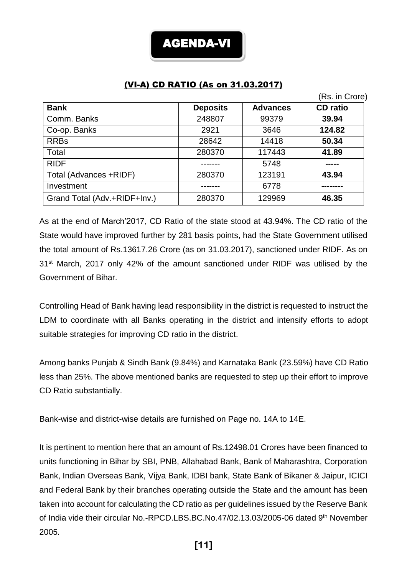ł

#### (VI-A) CD RATIO (As on 31.03.2017)

|                              |                 |                 | (Rs. in Crore)  |
|------------------------------|-----------------|-----------------|-----------------|
| <b>Bank</b>                  | <b>Deposits</b> | <b>Advances</b> | <b>CD</b> ratio |
| Comm. Banks                  | 248807          | 99379           | 39.94           |
| Co-op. Banks                 | 2921            | 3646            | 124.82          |
| <b>RRBs</b>                  | 28642           | 14418           | 50.34           |
| Total                        | 280370          | 117443          | 41.89           |
| <b>RIDF</b>                  |                 | 5748            |                 |
| Total (Advances +RIDF)       | 280370          | 123191          | 43.94           |
| Investment                   |                 | 6778            |                 |
| Grand Total (Adv.+RIDF+Inv.) | 280370          | 129969          | 46.35           |

As at the end of March'2017, CD Ratio of the state stood at 43.94%. The CD ratio of the State would have improved further by 281 basis points, had the State Government utilised the total amount of Rs.13617.26 Crore (as on 31.03.2017), sanctioned under RIDF. As on 31<sup>st</sup> March, 2017 only 42% of the amount sanctioned under RIDF was utilised by the Government of Bihar.

Controlling Head of Bank having lead responsibility in the district is requested to instruct the LDM to coordinate with all Banks operating in the district and intensify efforts to adopt suitable strategies for improving CD ratio in the district.

Among banks Punjab & Sindh Bank (9.84%) and Karnataka Bank (23.59%) have CD Ratio less than 25%. The above mentioned banks are requested to step up their effort to improve CD Ratio substantially.

Bank-wise and district-wise details are furnished on Page no. 14A to 14E.

It is pertinent to mention here that an amount of Rs.12498.01 Crores have been financed to units functioning in Bihar by SBI, PNB, Allahabad Bank, Bank of Maharashtra, Corporation Bank, Indian Overseas Bank, Vijya Bank, IDBI bank, State Bank of Bikaner & Jaipur, ICICI and Federal Bank by their branches operating outside the State and the amount has been taken into account for calculating the CD ratio as per guidelines issued by the Reserve Bank of India vide their circular No.-RPCD.LBS.BC.No.47/02.13.03/2005-06 dated 9th November 2005.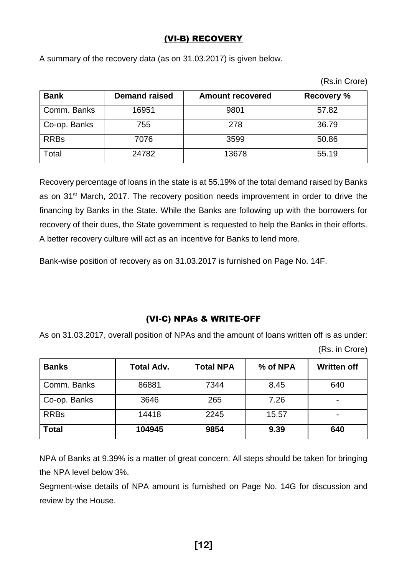## (VI-B) RECOVERY

A summary of the recovery data (as on 31.03.2017) is given below.

| (Rs.in Crore) |
|---------------|
|               |

| <b>Bank</b>  | <b>Demand raised</b> | <b>Amount recovered</b> | <b>Recovery %</b> |
|--------------|----------------------|-------------------------|-------------------|
| Comm. Banks  | 16951                | 9801                    | 57.82             |
| Co-op. Banks | 755                  | 278                     | 36.79             |
| <b>RRBs</b>  | 7076                 | 3599                    | 50.86             |
| Total        | 24782                | 13678                   | 55.19             |

Recovery percentage of loans in the state is at 55.19% of the total demand raised by Banks as on 31<sup>st</sup> March, 2017. The recovery position needs improvement in order to drive the financing by Banks in the State. While the Banks are following up with the borrowers for recovery of their dues, the State government is requested to help the Banks in their efforts. A better recovery culture will act as an incentive for Banks to lend more.

Bank-wise position of recovery as on 31.03.2017 is furnished on Page No. 14F.

#### (VI-C) NPAs & WRITE-OFF

As on 31.03.2017, overall position of NPAs and the amount of loans written off is as under: (Rs. in Crore)

| <b>Banks</b> | <b>Total Adv.</b> | <b>Total NPA</b> | % of NPA | <b>Written off</b> |
|--------------|-------------------|------------------|----------|--------------------|
| Comm. Banks  | 86881             | 7344             | 8.45     | 640                |
| Co-op. Banks | 3646              | 265              | 7.26     |                    |
| <b>RRBs</b>  | 14418             | 2245             | 15.57    |                    |
| <b>Total</b> | 104945            | 9854             | 9.39     | 640                |

NPA of Banks at 9.39% is a matter of great concern. All steps should be taken for bringing the NPA level below 3%.

Segment-wise details of NPA amount is furnished on Page No. 14G for discussion and review by the House.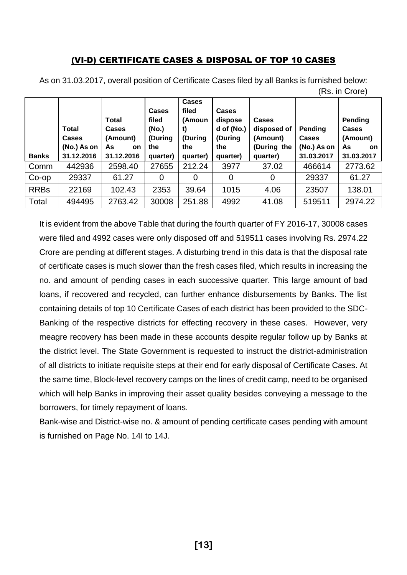#### (VI-D) CERTIFICATE CASES & DISPOSAL OF TOP 10 CASES

|              |                                                    |                                                                    |                                                              |                                                                     |                                                                     |                                                                    |                                                      | INS. III VIVIEI                                                |
|--------------|----------------------------------------------------|--------------------------------------------------------------------|--------------------------------------------------------------|---------------------------------------------------------------------|---------------------------------------------------------------------|--------------------------------------------------------------------|------------------------------------------------------|----------------------------------------------------------------|
| <b>Banks</b> | Total<br><b>Cases</b><br>(No.) As on<br>31.12.2016 | <b>Total</b><br>Cases<br>(Amount)<br>As<br><b>on</b><br>31.12.2016 | <b>Cases</b><br>filed<br>(No.)<br>(During<br>the<br>quarter) | <b>Cases</b><br>filed<br>(Amoun<br>t)<br>(During<br>the<br>quarter) | <b>Cases</b><br>dispose<br>d of (No.)<br>(During<br>the<br>quarter) | <b>Cases</b><br>disposed of<br>(Amount)<br>(During the<br>quarter) | Pending<br><b>Cases</b><br>(No.) As on<br>31.03.2017 | Pending<br><b>Cases</b><br>(Amount)<br>As<br>on.<br>31.03.2017 |
|              |                                                    |                                                                    |                                                              |                                                                     |                                                                     |                                                                    |                                                      |                                                                |
| Comm         | 442936                                             | 2598.40                                                            | 27655                                                        | 212.24                                                              | 3977                                                                | 37.02                                                              | 466614                                               | 2773.62                                                        |
| Co-op        | 29337                                              | 61.27                                                              | $\Omega$                                                     | 0                                                                   |                                                                     | 0                                                                  | 29337                                                | 61.27                                                          |
| <b>RRBs</b>  | 22169                                              | 102.43                                                             | 2353                                                         | 39.64                                                               | 1015                                                                | 4.06                                                               | 23507                                                | 138.01                                                         |
| Total        | 494495                                             | 2763.42                                                            | 30008                                                        | 251.88                                                              | 4992                                                                | 41.08                                                              | 519511                                               | 2974.22                                                        |

As on 31.03.2017, overall position of Certificate Cases filed by all Banks is furnished below:  $(D - in Q_{xxxx})$ 

It is evident from the above Table that during the fourth quarter of FY 2016-17, 30008 cases were filed and 4992 cases were only disposed off and 519511 cases involving Rs. 2974.22 Crore are pending at different stages. A disturbing trend in this data is that the disposal rate of certificate cases is much slower than the fresh cases filed, which results in increasing the no. and amount of pending cases in each successive quarter. This large amount of bad loans, if recovered and recycled, can further enhance disbursements by Banks. The list containing details of top 10 Certificate Cases of each district has been provided to the SDC-Banking of the respective districts for effecting recovery in these cases. However, very meagre recovery has been made in these accounts despite regular follow up by Banks at the district level. The State Government is requested to instruct the district-administration of all districts to initiate requisite steps at their end for early disposal of Certificate Cases. At the same time, Block-level recovery camps on the lines of credit camp, need to be organised which will help Banks in improving their asset quality besides conveying a message to the borrowers, for timely repayment of loans.

Bank-wise and District-wise no. & amount of pending certificate cases pending with amount is furnished on Page No. 14I to 14J.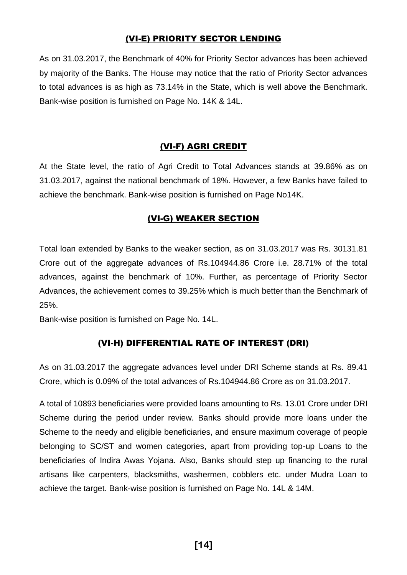#### (VI-E) PRIORITY SECTOR LENDING

As on 31.03.2017, the Benchmark of 40% for Priority Sector advances has been achieved by majority of the Banks. The House may notice that the ratio of Priority Sector advances to total advances is as high as 73.14% in the State, which is well above the Benchmark. Bank-wise position is furnished on Page No. 14K & 14L.

#### (VI-F) AGRI CREDIT

At the State level, the ratio of Agri Credit to Total Advances stands at 39.86% as on 31.03.2017, against the national benchmark of 18%. However, a few Banks have failed to achieve the benchmark. Bank-wise position is furnished on Page No14K.

#### (VI-G) WEAKER SECTION

Total loan extended by Banks to the weaker section, as on 31.03.2017 was Rs. 30131.81 Crore out of the aggregate advances of Rs.104944.86 Crore i.e. 28.71% of the total advances, against the benchmark of 10%. Further, as percentage of Priority Sector Advances, the achievement comes to 39.25% which is much better than the Benchmark of 25%.

Bank-wise position is furnished on Page No. 14L.

#### (VI-H) DIFFERENTIAL RATE OF INTEREST (DRI)

As on 31.03.2017 the aggregate advances level under DRI Scheme stands at Rs. 89.41 Crore, which is 0.09% of the total advances of Rs.104944.86 Crore as on 31.03.2017.

A total of 10893 beneficiaries were provided loans amounting to Rs. 13.01 Crore under DRI Scheme during the period under review. Banks should provide more loans under the Scheme to the needy and eligible beneficiaries, and ensure maximum coverage of people belonging to SC/ST and women categories, apart from providing top-up Loans to the beneficiaries of Indira Awas Yojana. Also, Banks should step up financing to the rural artisans like carpenters, blacksmiths, washermen, cobblers etc. under Mudra Loan to achieve the target. Bank-wise position is furnished on Page No. 14L & 14M.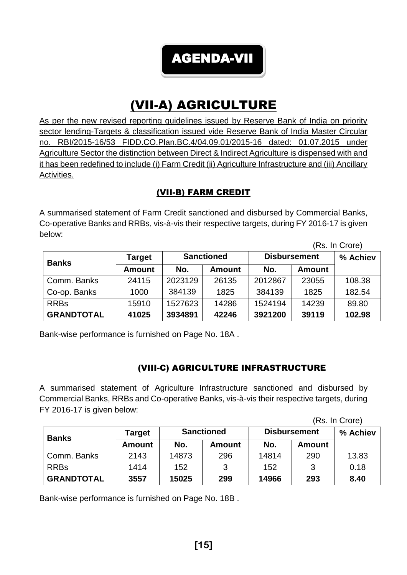AGENDA-VII

# (VII-A) AGRICULTURE

As per the new revised reporting guidelines issued by Reserve Bank of India on priority sector lending-Targets & classification issued vide Reserve Bank of India Master Circular no. RBI/2015-16/53 FIDD.CO.Plan.BC.4/04.09.01/2015-16 dated: 01.07.2015 under Agriculture Sector the distinction between Direct & Indirect Agriculture is dispensed with and it has been redefined to include (i) Farm Credit (ii) Agriculture Infrastructure and (iii) Ancillary Activities.

## (VII-B) FARM CREDIT

A summarised statement of Farm Credit sanctioned and disbursed by Commercial Banks, Co-operative Banks and RRBs, vis-à-vis their respective targets, during FY 2016-17 is given below:

|                   |               |                   |               |                      |       | (Rs. In Crore) |
|-------------------|---------------|-------------------|---------------|----------------------|-------|----------------|
| <b>Banks</b>      | <b>Target</b> | <b>Sanctioned</b> |               | <b>Disbursement</b>  |       | % Achiev       |
|                   | <b>Amount</b> | No.               | <b>Amount</b> | No.<br><b>Amount</b> |       |                |
| Comm. Banks       | 24115         | 2023129           | 26135         | 2012867              | 23055 | 108.38         |
| Co-op. Banks      | 1000          | 384139            | 1825          | 384139               | 1825  | 182.54         |
| <b>RRBs</b>       | 15910         | 1527623           | 14286         | 1524194              | 14239 | 89.80          |
| <b>GRANDTOTAL</b> | 41025         | 3934891           | 42246         | 3921200              | 39119 | 102.98         |

Bank-wise performance is furnished on Page No. 18A .

# (VIII-C) AGRICULTURE INFRASTRUCTURE

A summarised statement of Agriculture Infrastructure sanctioned and disbursed by Commercial Banks, RRBs and Co-operative Banks, vis-à-vis their respective targets, during FY 2016-17 is given below:

(Rs. In Crore)

| <b>Banks</b>      | Target | <b>Sanctioned</b> |               | <b>Disbursement</b>  |     | % Achiev |
|-------------------|--------|-------------------|---------------|----------------------|-----|----------|
|                   | Amount | No.               | <b>Amount</b> | No.<br><b>Amount</b> |     |          |
| Comm. Banks       | 2143   | 14873             | 296           | 14814                | 290 | 13.83    |
| <b>RRBs</b>       | 1414   | 152               | 3             | 152                  | ว   | 0.18     |
| <b>GRANDTOTAL</b> | 3557   | 15025             | 299           | 14966                | 293 | 8.40     |

Bank-wise performance is furnished on Page No. 18B .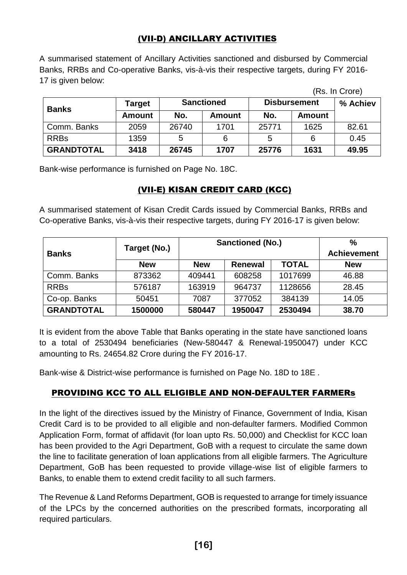## (VII-D) ANCILLARY ACTIVITIES

A summarised statement of Ancillary Activities sanctioned and disbursed by Commercial Banks, RRBs and Co-operative Banks, vis-à-vis their respective targets, during FY 2016- 17 is given below:

|                   |               |                   |               |                      |      | (Rs. In Crore) |
|-------------------|---------------|-------------------|---------------|----------------------|------|----------------|
| <b>Banks</b>      | Target        | <b>Sanctioned</b> |               | <b>Disbursement</b>  |      | % Achiev       |
|                   | <b>Amount</b> | No.               | <b>Amount</b> | No.<br><b>Amount</b> |      |                |
| Comm. Banks       | 2059          | 26740             | 1701          | 25771                | 1625 | 82.61          |
| <b>RRBs</b>       | 1359          | 5                 | 6             | 5                    | 6    | 0.45           |
| <b>GRANDTOTAL</b> | 3418          | 26745             | 1707          | 25776                | 1631 | 49.95          |

Bank-wise performance is furnished on Page No. 18C.

#### (VII-E) KISAN CREDIT CARD (KCC)

A summarised statement of Kisan Credit Cards issued by Commercial Banks, RRBs and Co-operative Banks, vis-à-vis their respective targets, during FY 2016-17 is given below:

|                   |              | <b>Sanctioned (No.)</b> | $\%$               |              |            |
|-------------------|--------------|-------------------------|--------------------|--------------|------------|
| <b>Banks</b>      | Target (No.) |                         | <b>Achievement</b> |              |            |
|                   | <b>New</b>   | <b>New</b>              | <b>Renewal</b>     | <b>TOTAL</b> | <b>New</b> |
| Comm. Banks       | 873362       | 409441                  | 608258             | 1017699      | 46.88      |
| <b>RRBs</b>       | 576187       | 163919                  | 964737             | 1128656      | 28.45      |
| Co-op. Banks      | 50451        | 7087                    | 377052             | 384139       | 14.05      |
| <b>GRANDTOTAL</b> | 1500000      | 580447                  | 1950047            | 2530494      | 38.70      |

It is evident from the above Table that Banks operating in the state have sanctioned loans to a total of 2530494 beneficiaries (New-580447 & Renewal-1950047) under KCC amounting to Rs. 24654.82 Crore during the FY 2016-17.

Bank-wise & District-wise performance is furnished on Page No. 18D to 18E .

#### PROVIDING KCC TO ALL ELIGIBLE AND NON-DEFAULTER FARMERs

In the light of the directives issued by the Ministry of Finance, Government of India, Kisan Credit Card is to be provided to all eligible and non-defaulter farmers. Modified Common Application Form, format of affidavit (for loan upto Rs. 50,000) and Checklist for KCC loan has been provided to the Agri Department, GoB with a request to circulate the same down the line to facilitate generation of loan applications from all eligible farmers. The Agriculture Department, GoB has been requested to provide village-wise list of eligible farmers to Banks, to enable them to extend credit facility to all such farmers.

The Revenue & Land Reforms Department, GOB is requested to arrange for timely issuance of the LPCs by the concerned authorities on the prescribed formats, incorporating all required particulars.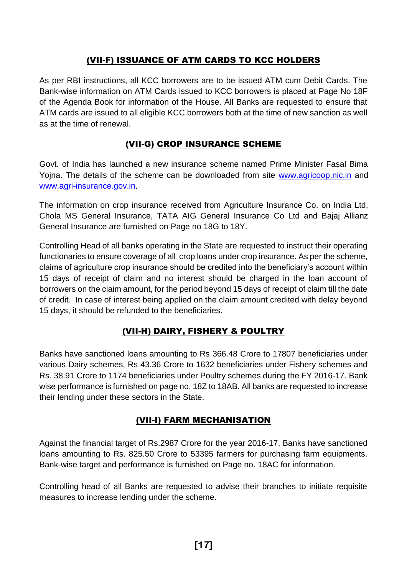#### (VII-F) ISSUANCE OF ATM CARDS TO KCC HOLDERS

As per RBI instructions, all KCC borrowers are to be issued ATM cum Debit Cards. The Bank-wise information on ATM Cards issued to KCC borrowers is placed at Page No 18F of the Agenda Book for information of the House. All Banks are requested to ensure that ATM cards are issued to all eligible KCC borrowers both at the time of new sanction as well as at the time of renewal.

## (VII-G) CROP INSURANCE SCHEME

Govt. of India has launched a new insurance scheme named Prime Minister Fasal Bima Yojna. The details of the scheme can be downloaded from site [www.agricoop.nic.in](http://www.agricoop.nic.in/) and [www.agri-insurance.gov.in.](http://www.agri-insurance.gov.in/)

The information on crop insurance received from Agriculture Insurance Co. on India Ltd, Chola MS General Insurance, TATA AIG General Insurance Co Ltd and Bajaj Allianz General Insurance are furnished on Page no 18G to 18Y.

Controlling Head of all banks operating in the State are requested to instruct their operating functionaries to ensure coverage of all crop loans under crop insurance. As per the scheme, claims of agriculture crop insurance should be credited into the beneficiary's account within 15 days of receipt of claim and no interest should be charged in the loan account of borrowers on the claim amount, for the period beyond 15 days of receipt of claim till the date of credit. In case of interest being applied on the claim amount credited with delay beyond 15 days, it should be refunded to the beneficiaries.

# (VII-H) DAIRY, FISHERY & POULTRY

Banks have sanctioned loans amounting to Rs 366.48 Crore to 17807 beneficiaries under various Dairy schemes, Rs 43.36 Crore to 1632 beneficiaries under Fishery schemes and Rs. 38.91 Crore to 1174 beneficiaries under Poultry schemes during the FY 2016-17. Bank wise performance is furnished on page no. 18Z to 18AB. All banks are requested to increase their lending under these sectors in the State.

#### (VII-I) FARM MECHANISATION

Against the financial target of Rs.2987 Crore for the year 2016-17, Banks have sanctioned loans amounting to Rs. 825.50 Crore to 53395 farmers for purchasing farm equipments. Bank-wise target and performance is furnished on Page no. 18AC for information.

Controlling head of all Banks are requested to advise their branches to initiate requisite measures to increase lending under the scheme.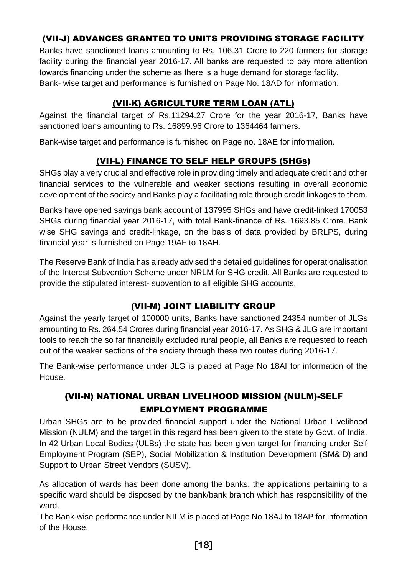# (VII-J) ADVANCES GRANTED TO UNITS PROVIDING STORAGE FACILITY

Banks have sanctioned loans amounting to Rs. 106.31 Crore to 220 farmers for storage facility during the financial year 2016-17. All banks are requested to pay more attention towards financing under the scheme as there is a huge demand for storage facility. Bank- wise target and performance is furnished on Page No. 18AD for information.

# (VII-K) AGRICULTURE TERM LOAN (ATL)

Against the financial target of Rs.11294.27 Crore for the year 2016-17, Banks have sanctioned loans amounting to Rs. 16899.96 Crore to 1364464 farmers.

Bank-wise target and performance is furnished on Page no. 18AE for information.

# (VII-L) FINANCE TO SELF HELP GROUPS (SHGs)

SHGs play a very crucial and effective role in providing timely and adequate credit and other financial services to the vulnerable and weaker sections resulting in overall economic development of the society and Banks play a facilitating role through credit linkages to them.

Banks have opened savings bank account of 137995 SHGs and have credit-linked 170053 SHGs during financial year 2016-17, with total Bank-finance of Rs. 1693.85 Crore. Bank wise SHG savings and credit-linkage, on the basis of data provided by BRLPS, during financial year is furnished on Page 19AF to 18AH.

The Reserve Bank of India has already advised the detailed guidelines for operationalisation of the Interest Subvention Scheme under NRLM for SHG credit. All Banks are requested to provide the stipulated interest- subvention to all eligible SHG accounts.

# (VII-M) JOINT LIABILITY GROUP

Against the yearly target of 100000 units, Banks have sanctioned 24354 number of JLGs amounting to Rs. 264.54 Crores during financial year 2016-17. As SHG & JLG are important tools to reach the so far financially excluded rural people, all Banks are requested to reach out of the weaker sections of the society through these two routes during 2016-17.

The Bank-wise performance under JLG is placed at Page No 18AI for information of the House.

# (VII-N) NATIONAL URBAN LIVELIHOOD MISSION (NULM)-SELF EMPLOYMENT PROGRAMME

Urban SHGs are to be provided financial support under the National Urban Livelihood Mission (NULM) and the target in this regard has been given to the state by Govt. of India. In 42 Urban Local Bodies (ULBs) the state has been given target for financing under Self Employment Program (SEP), Social Mobilization & Institution Development (SM&ID) and Support to Urban Street Vendors (SUSV).

As allocation of wards has been done among the banks, the applications pertaining to a specific ward should be disposed by the bank/bank branch which has responsibility of the ward.

The Bank-wise performance under NILM is placed at Page No 18AJ to 18AP for information of the House.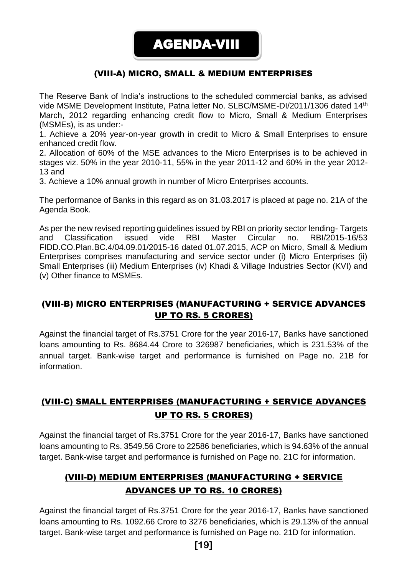## (VIII-A) MICRO, SMALL & MEDIUM ENTERPRISES

The Reserve Bank of India's instructions to the scheduled commercial banks, as advised vide MSME Development Institute, Patna letter No. SLBC/MSME-DI/2011/1306 dated 14<sup>th</sup> March, 2012 regarding enhancing credit flow to Micro, Small & Medium Enterprises (MSMEs), is as under:-

1. Achieve a 20% year-on-year growth in credit to Micro & Small Enterprises to ensure enhanced credit flow.

2. Allocation of 60% of the MSE advances to the Micro Enterprises is to be achieved in stages viz. 50% in the year 2010-11, 55% in the year 2011-12 and 60% in the year 2012- 13 and

3. Achieve a 10% annual growth in number of Micro Enterprises accounts.

The performance of Banks in this regard as on 31.03.2017 is placed at page no. 21A of the Agenda Book.

As per the new revised reporting guidelines issued by RBI on priority sector lending- Targets and Classification issued vide RBI Master Circular no. RBI/2015-16/53 FIDD.CO.Plan.BC.4/04.09.01/2015-16 dated 01.07.2015, ACP on Micro, Small & Medium Enterprises comprises manufacturing and service sector under (i) Micro Enterprises (ii) Small Enterprises (iii) Medium Enterprises (iv) Khadi & Village Industries Sector (KVI) and (v) Other finance to MSMEs.

## (VIII-B) MICRO ENTERPRISES (MANUFACTURING + SERVICE ADVANCES UP TO RS. 5 CRORES)

Against the financial target of Rs.3751 Crore for the year 2016-17, Banks have sanctioned loans amounting to Rs. 8684.44 Crore to 326987 beneficiaries, which is 231.53% of the annual target. Bank-wise target and performance is furnished on Page no. 21B for information.

# (VIII-C) SMALL ENTERPRISES (MANUFACTURING + SERVICE ADVANCES UP TO RS. 5 CRORES)

Against the financial target of Rs.3751 Crore for the year 2016-17, Banks have sanctioned loans amounting to Rs. 3549.56 Crore to 22586 beneficiaries, which is 94.63% of the annual target. Bank-wise target and performance is furnished on Page no. 21C for information.

# (VIII-D) MEDIUM ENTERPRISES (MANUFACTURING + SERVICE ADVANCES UP TO RS. 10 CRORES)

Against the financial target of Rs.3751 Crore for the year 2016-17, Banks have sanctioned loans amounting to Rs. 1092.66 Crore to 3276 beneficiaries, which is 29.13% of the annual target. Bank-wise target and performance is furnished on Page no. 21D for information.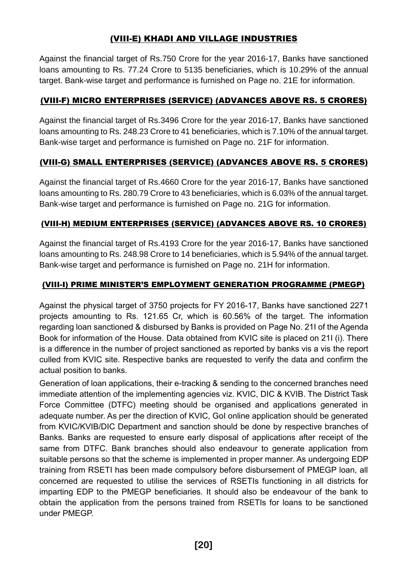# (VIII-E) KHADI AND VILLAGE INDUSTRIES

Against the financial target of Rs.750 Crore for the year 2016-17, Banks have sanctioned loans amounting to Rs. 77.24 Crore to 5135 beneficiaries, which is 10.29% of the annual target. Bank-wise target and performance is furnished on Page no. 21E for information.

#### (VIII-F) MICRO ENTERPRISES (SERVICE) (ADVANCES ABOVE RS. 5 CRORES)

Against the financial target of Rs.3496 Crore for the year 2016-17, Banks have sanctioned loans amounting to Rs. 248.23 Crore to 41 beneficiaries, which is 7.10% of the annual target. Bank-wise target and performance is furnished on Page no. 21F for information.

#### (VIII-G) SMALL ENTERPRISES (SERVICE) (ADVANCES ABOVE RS. 5 CRORES)

Against the financial target of Rs.4660 Crore for the year 2016-17, Banks have sanctioned loans amounting to Rs. 280.79 Crore to 43 beneficiaries, which is 6.03% of the annual target. Bank-wise target and performance is furnished on Page no. 21G for information.

#### (VIII-H) MEDIUM ENTERPRISES (SERVICE) (ADVANCES ABOVE RS. 10 CRORES)

Against the financial target of Rs.4193 Crore for the year 2016-17, Banks have sanctioned loans amounting to Rs. 248.98 Crore to 14 beneficiaries, which is 5.94% of the annual target. Bank-wise target and performance is furnished on Page no. 21H for information.

#### (VIII-I) PRIME MINISTER'S EMPLOYMENT GENERATION PROGRAMME (PMEGP)

Against the physical target of 3750 projects for FY 2016-17, Banks have sanctioned 2271 projects amounting to Rs. 121.65 Cr, which is 60.56% of the target. The information regarding loan sanctioned & disbursed by Banks is provided on Page No. 21I of the Agenda Book for information of the House. Data obtained from KVIC site is placed on 21I (i). There is a difference in the number of project sanctioned as reported by banks vis a vis the report culled from KVIC site. Respective banks are requested to verify the data and confirm the actual position to banks.

Generation of loan applications, their e-tracking & sending to the concerned branches need immediate attention of the implementing agencies viz. KVIC, DIC & KVIB. The District Task Force Committee (DTFC) meeting should be organised and applications generated in adequate number. As per the direction of KVIC, GoI online application should be generated from KVIC/KVIB/DIC Department and sanction should be done by respective branches of Banks. Banks are requested to ensure early disposal of applications after receipt of the same from DTFC. Bank branches should also endeavour to generate application from suitable persons so that the scheme is implemented in proper manner. As undergoing EDP training from RSETI has been made compulsory before disbursement of PMEGP loan, all concerned are requested to utilise the services of RSETIs functioning in all districts for imparting EDP to the PMEGP beneficiaries. It should also be endeavour of the bank to obtain the application from the persons trained from RSETIs for loans to be sanctioned under PMEGP.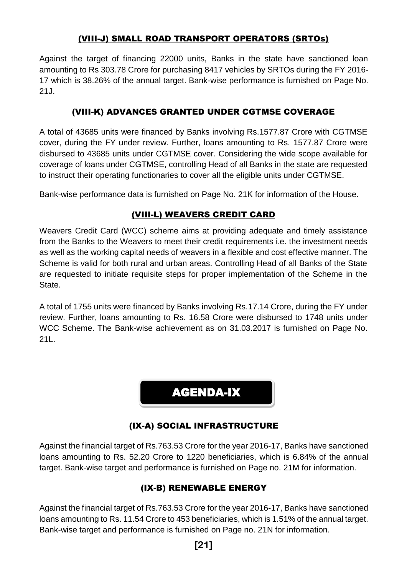# (VIII-J) SMALL ROAD TRANSPORT OPERATORS (SRTOs)

Against the target of financing 22000 units, Banks in the state have sanctioned loan amounting to Rs 303.78 Crore for purchasing 8417 vehicles by SRTOs during the FY 2016- 17 which is 38.26% of the annual target. Bank-wise performance is furnished on Page No. 21J.

# (VIII-K) ADVANCES GRANTED UNDER CGTMSE COVERAGE

A total of 43685 units were financed by Banks involving Rs.1577.87 Crore with CGTMSE cover, during the FY under review. Further, loans amounting to Rs. 1577.87 Crore were disbursed to 43685 units under CGTMSE cover. Considering the wide scope available for coverage of loans under CGTMSE, controlling Head of all Banks in the state are requested to instruct their operating functionaries to cover all the eligible units under CGTMSE.

Bank-wise performance data is furnished on Page No. 21K for information of the House.

# (VIII-L) WEAVERS CREDIT CARD

Weavers Credit Card (WCC) scheme aims at providing adequate and timely assistance from the Banks to the Weavers to meet their credit requirements i.e. the investment needs as well as the working capital needs of weavers in a flexible and cost effective manner. The Scheme is valid for both rural and urban areas. Controlling Head of all Banks of the State are requested to initiate requisite steps for proper implementation of the Scheme in the State.

A total of 1755 units were financed by Banks involving Rs.17.14 Crore, during the FY under review. Further, loans amounting to Rs. 16.58 Crore were disbursed to 1748 units under WCC Scheme. The Bank-wise achievement as on 31.03.2017 is furnished on Page No. 21L.

# AGENDA-IX

# (IX-A) SOCIAL INFRASTRUCTURE

Against the financial target of Rs.763.53 Crore for the year 2016-17, Banks have sanctioned loans amounting to Rs. 52.20 Crore to 1220 beneficiaries, which is 6.84% of the annual target. Bank-wise target and performance is furnished on Page no. 21M for information.

# (IX-B) RENEWABLE ENERGY

Against the financial target of Rs.763.53 Crore for the year 2016-17, Banks have sanctioned loans amounting to Rs. 11.54 Crore to 453 beneficiaries, which is 1.51% of the annual target. Bank-wise target and performance is furnished on Page no. 21N for information.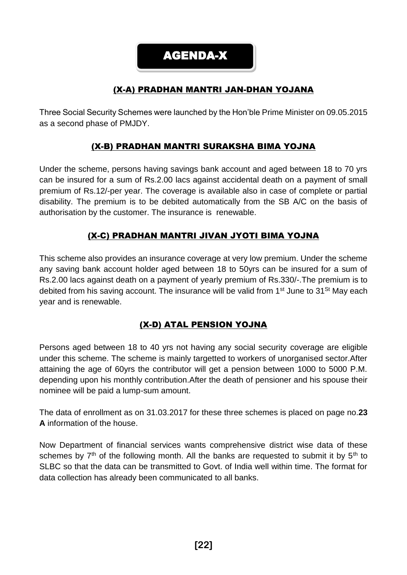AGENDA-X

# (X-A) PRADHAN MANTRI JAN-DHAN YOJANA

Three Social Security Schemes were launched by the Hon'ble Prime Minister on 09.05.2015 as a second phase of PMJDY.

# (X-B) PRADHAN MANTRI SURAKSHA BIMA YOJNA

Under the scheme, persons having savings bank account and aged between 18 to 70 yrs can be insured for a sum of Rs.2.00 lacs against accidental death on a payment of small premium of Rs.12/-per year. The coverage is available also in case of complete or partial disability. The premium is to be debited automatically from the SB A/C on the basis of authorisation by the customer. The insurance is renewable.

# (X-C) PRADHAN MANTRI JIVAN JYOTI BIMA YOJNA

This scheme also provides an insurance coverage at very low premium. Under the scheme any saving bank account holder aged between 18 to 50yrs can be insured for a sum of Rs.2.00 lacs against death on a payment of yearly premium of Rs.330/-.The premium is to debited from his saving account. The insurance will be valid from  $1<sup>st</sup>$  June to  $31<sup>St</sup>$  May each year and is renewable.

# (X-D) ATAL PENSION YOJNA

Persons aged between 18 to 40 yrs not having any social security coverage are eligible under this scheme. The scheme is mainly targetted to workers of unorganised sector.After attaining the age of 60yrs the contributor will get a pension between 1000 to 5000 P.M. depending upon his monthly contribution.After the death of pensioner and his spouse their nominee will be paid a lump-sum amount.

The data of enrollment as on 31.03.2017 for these three schemes is placed on page no.**23 A** information of the house.

Now Department of financial services wants comprehensive district wise data of these schemes by  $7<sup>th</sup>$  of the following month. All the banks are requested to submit it by  $5<sup>th</sup>$  to SLBC so that the data can be transmitted to Govt. of India well within time. The format for data collection has already been communicated to all banks.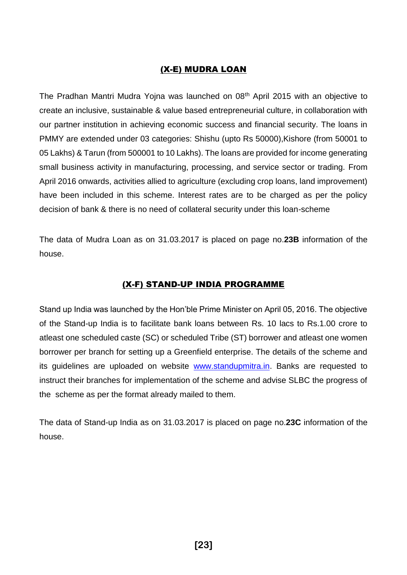#### (X-E) MUDRA LOAN

The Pradhan Mantri Mudra Yojna was launched on 08<sup>th</sup> April 2015 with an objective to create an inclusive, sustainable & value based entrepreneurial culture, in collaboration with our partner institution in achieving economic success and financial security. The loans in PMMY are extended under 03 categories: Shishu (upto Rs 50000),Kishore (from 50001 to 05 Lakhs) & Tarun (from 500001 to 10 Lakhs). The loans are provided for income generating small business activity in manufacturing, processing, and service sector or trading. From April 2016 onwards, activities allied to agriculture (excluding crop loans, land improvement) have been included in this scheme. Interest rates are to be charged as per the policy decision of bank & there is no need of collateral security under this loan-scheme

The data of Mudra Loan as on 31.03.2017 is placed on page no.**23B** information of the house.

#### (X-F) STAND-UP INDIA PROGRAMME

Stand up India was launched by the Hon'ble Prime Minister on April 05, 2016. The objective of the Stand-up India is to facilitate bank loans between Rs. 10 lacs to Rs.1.00 crore to atleast one scheduled caste (SC) or scheduled Tribe (ST) borrower and atleast one women borrower per branch for setting up a Greenfield enterprise. The details of the scheme and its guidelines are uploaded on website [www.standupmitra.in.](http://www.standupmitra.in/) Banks are requested to instruct their branches for implementation of the scheme and advise SLBC the progress of the scheme as per the format already mailed to them.

The data of Stand-up India as on 31.03.2017 is placed on page no.**23C** information of the house.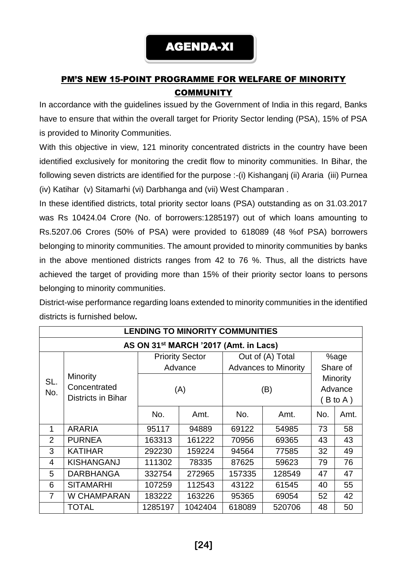# PM'S NEW 15-POINT PROGRAMME FOR WELFARE OF MINORITY **COMMUNITY**

In accordance with the guidelines issued by the Government of India in this regard, Banks have to ensure that within the overall target for Priority Sector lending (PSA), 15% of PSA is provided to Minority Communities.

With this objective in view, 121 minority concentrated districts in the country have been identified exclusively for monitoring the credit flow to minority communities. In Bihar, the following seven districts are identified for the purpose :-(i) Kishanganj (ii) Araria (iii) Purnea (iv) Katihar (v) Sitamarhi (vi) Darbhanga and (vii) West Champaran .

In these identified districts, total priority sector loans (PSA) outstanding as on 31.03.2017 was Rs 10424.04 Crore (No. of borrowers:1285197) out of which loans amounting to Rs.5207.06 Crores (50% of PSA) were provided to 618089 (48 %of PSA) borrowers belonging to minority communities. The amount provided to minority communities by banks in the above mentioned districts ranges from 42 to 76 %. Thus, all the districts have achieved the target of providing more than 15% of their priority sector loans to persons belonging to minority communities.

District-wise performance regarding loans extended to minority communities in the identified districts is furnished below**.**

| <b>LENDING TO MINORITY COMMUNITIES</b>            |                           |                        |         |                             |        |                 |          |  |  |
|---------------------------------------------------|---------------------------|------------------------|---------|-----------------------------|--------|-----------------|----------|--|--|
| AS ON 31 <sup>st</sup> MARCH '2017 (Amt. in Lacs) |                           |                        |         |                             |        |                 |          |  |  |
|                                                   |                           | <b>Priority Sector</b> |         | Out of (A) Total            |        | %age            |          |  |  |
|                                                   |                           |                        | Advance | <b>Advances to Minority</b> |        | Share of        |          |  |  |
| SL.                                               | Minority                  |                        |         |                             |        | <b>Minority</b> |          |  |  |
| No.                                               | Concentrated              |                        | (A)     | (B)                         |        | Advance         |          |  |  |
|                                                   | <b>Districts in Bihar</b> |                        |         |                             |        |                 | (B to A) |  |  |
|                                                   |                           | No.                    | Amt.    | No.                         | Amt.   | No.             | Amt.     |  |  |
| 1                                                 | <b>ARARIA</b>             | 95117                  | 94889   | 69122                       | 54985  | 73              | 58       |  |  |
| $\overline{2}$                                    | <b>PURNEA</b>             | 163313                 | 161222  | 70956                       | 69365  | 43              | 43       |  |  |
| 3                                                 | <b>KATIHAR</b>            | 292230                 | 159224  | 94564                       | 77585  | 32              | 49       |  |  |
| $\overline{4}$                                    | <b>KISHANGANJ</b>         | 111302                 | 78335   | 87625                       | 59623  | 79              | 76       |  |  |
| 5                                                 | <b>DARBHANGA</b>          | 332754                 | 272965  | 157335                      | 128549 | 47              | 47       |  |  |
| 6                                                 | <b>SITAMARHI</b>          | 107259                 | 112543  | 43122                       | 61545  | 40              | 55       |  |  |
| $\overline{7}$                                    | W CHAMPARAN               | 183222                 | 163226  | 95365                       | 69054  | 52              | 42       |  |  |
|                                                   | <b>TOTAL</b>              | 1285197                | 1042404 | 618089                      | 520706 | 48              | 50       |  |  |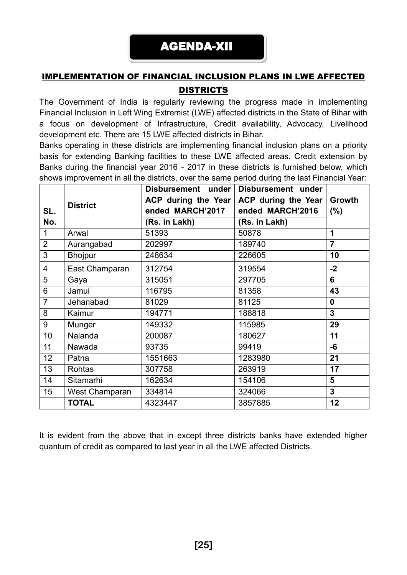# IMPLEMENTATION OF FINANCIAL INCLUSION PLANS IN LWE AFFECTED DISTRICTS

The Government of India is regularly reviewing the progress made in implementing Financial Inclusion in Left Wing Extremist (LWE) affected districts in the State of Bihar with a focus on development of Infrastructure, Credit availability, Advocacy, Livelihood development etc. There are 15 LWE affected districts in Bihar.

Banks operating in these districts are implementing financial inclusion plans on a priority basis for extending Banking facilities to these LWE affected areas. Credit extension by Banks during the financial year 2016 - 2017 in these districts is furnished below, which shows improvement in all the districts, over the same period during the last Financial Year:

| SL.<br>No.     | <b>District</b> | ACP during the Year<br>ended MARCH'2017<br>(Rs. in Lakh) | Disbursement under Disbursement under<br>ACP during the Year<br>ended MARCH'2016<br>(Rs. in Lakh) | Growth<br>(%)    |
|----------------|-----------------|----------------------------------------------------------|---------------------------------------------------------------------------------------------------|------------------|
| $\mathbf{1}$   | Arwal           | 51393                                                    | 50878                                                                                             | 1                |
| $\overline{2}$ | Aurangabad      | 202997                                                   | 189740                                                                                            | $\overline{7}$   |
| 3              | <b>Bhojpur</b>  | 248634                                                   | 226605                                                                                            | 10               |
| 4              | East Champaran  | 312754                                                   | 319554                                                                                            | $-2$             |
| 5              | Gaya            | 315051                                                   | 297705                                                                                            | 6                |
| 6              | Jamui           | 116795                                                   | 81358                                                                                             | 43               |
| $\overline{7}$ | Jehanabad       | 81029                                                    | 81125                                                                                             | $\boldsymbol{0}$ |
| 8              | Kaimur          | 194771                                                   | 188818                                                                                            | $\overline{3}$   |
| 9              | Munger          | 149332                                                   | 115985                                                                                            | 29               |
| 10             | Nalanda         | 200087                                                   | 180627                                                                                            | 11               |
| 11             | Nawada          | 93735                                                    | 99419                                                                                             | -6               |
| 12             | Patna           | 1551663                                                  | 1283980                                                                                           | 21               |
| 13             | Rohtas          | 307758                                                   | 263919                                                                                            | 17               |
| 14             | Sitamarhi       | 162634                                                   | 154106                                                                                            | 5                |
| 15             | West Champaran  | 334814                                                   | 324066                                                                                            | $\mathbf{3}$     |
|                | <b>TOTAL</b>    | 4323447                                                  | 3857885                                                                                           | 12               |

It is evident from the above that in except three districts banks have extended higher quantum of credit as compared to last year in all the LWE affected Districts.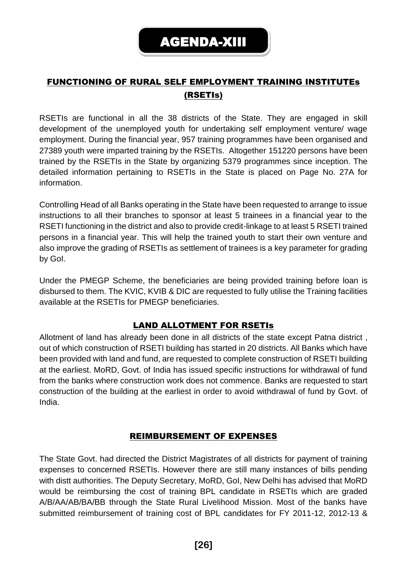# FUNCTIONING OF RURAL SELF EMPLOYMENT TRAINING INSTITUTEs (RSETIs)

RSETIs are functional in all the 38 districts of the State. They are engaged in skill development of the unemployed youth for undertaking self employment venture/ wage employment. During the financial year, 957 training programmes have been organised and 27389 youth were imparted training by the RSETIs. Altogether 151220 persons have been trained by the RSETIs in the State by organizing 5379 programmes since inception. The detailed information pertaining to RSETIs in the State is placed on Page No. 27A for information.

Controlling Head of all Banks operating in the State have been requested to arrange to issue instructions to all their branches to sponsor at least 5 trainees in a financial year to the RSETI functioning in the district and also to provide credit-linkage to at least 5 RSETI trained persons in a financial year. This will help the trained youth to start their own venture and also improve the grading of RSETIs as settlement of trainees is a key parameter for grading by GoI.

Under the PMEGP Scheme, the beneficiaries are being provided training before loan is disbursed to them. The KVIC, KVIB & DIC are requested to fully utilise the Training facilities available at the RSETIs for PMEGP beneficiaries.

#### LAND ALLOTMENT FOR RSETIs

Allotment of land has already been done in all districts of the state except Patna district , out of which construction of RSETI building has started in 20 districts. All Banks which have been provided with land and fund, are requested to complete construction of RSETI building at the earliest. MoRD, Govt. of India has issued specific instructions for withdrawal of fund from the banks where construction work does not commence. Banks are requested to start construction of the building at the earliest in order to avoid withdrawal of fund by Govt. of India.

#### REIMBURSEMENT OF EXPENSES

The State Govt. had directed the District Magistrates of all districts for payment of training expenses to concerned RSETIs. However there are still many instances of bills pending with distt authorities. The Deputy Secretary, MoRD, GoI, New Delhi has advised that MoRD would be reimbursing the cost of training BPL candidate in RSETIs which are graded A/B/AA/AB/BA/BB through the State Rural Livelihood Mission. Most of the banks have submitted reimbursement of training cost of BPL candidates for FY 2011-12, 2012-13 &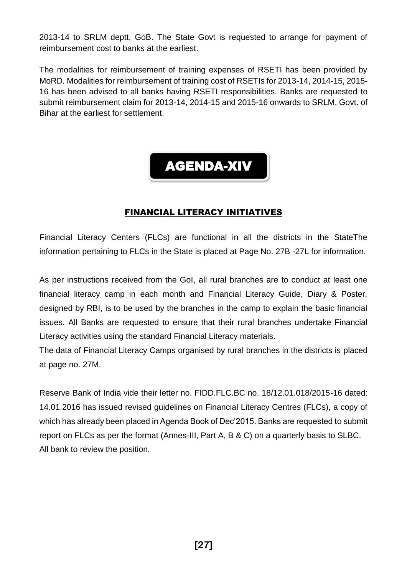2013-14 to SRLM deptt, GoB. The State Govt is requested to arrange for payment of reimbursement cost to banks at the earliest.

The modalities for reimbursement of training expenses of RSETI has been provided by MoRD. Modalities for reimbursement of training cost of RSETIs for 2013-14, 2014-15, 2015- 16 has been advised to all banks having RSETI responsibilities. Banks are requested to submit reimbursement claim for 2013-14, 2014-15 and 2015-16 onwards to SRLM, Govt. of Bihar at the earliest for settlement.

# AGENDA-XIV

#### FINANCIAL LITERACY INITIATIVES

Financial Literacy Centers (FLCs) are functional in all the districts in the StateThe information pertaining to FLCs in the State is placed at Page No. 27B -27L for information.

As per instructions received from the GoI, all rural branches are to conduct at least one financial literacy camp in each month and Financial Literacy Guide, Diary & Poster, designed by RBI, is to be used by the branches in the camp to explain the basic financial issues. All Banks are requested to ensure that their rural branches undertake Financial Literacy activities using the standard Financial Literacy materials.

The data of Financial Literacy Camps organised by rural branches in the districts is placed at page no. 27M.

Reserve Bank of India vide their letter no. FIDD.FLC.BC no. 18/12.01.018/2015-16 dated: 14.01.2016 has issued revised guidelines on Financial Literacy Centres (FLCs), a copy of which has already been placed in Agenda Book of Dec'2015. Banks are requested to submit report on FLCs as per the format (Annes-III, Part A, B & C) on a quarterly basis to SLBC. All bank to review the position.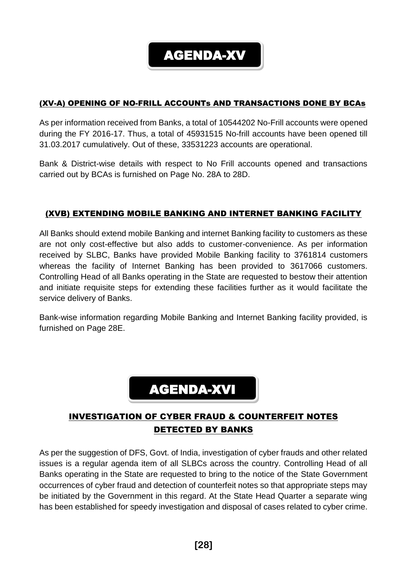

#### (XV-A) OPENING OF NO-FRILL ACCOUNTs AND TRANSACTIONS DONE BY BCAs

As per information received from Banks, a total of 10544202 No-Frill accounts were opened during the FY 2016-17. Thus, a total of 45931515 No-frill accounts have been opened till 31.03.2017 cumulatively. Out of these, 33531223 accounts are operational.

Bank & District-wise details with respect to No Frill accounts opened and transactions carried out by BCAs is furnished on Page No. 28A to 28D.

## (XVB) EXTENDING MOBILE BANKING AND INTERNET BANKING FACILITY

All Banks should extend mobile Banking and internet Banking facility to customers as these are not only cost-effective but also adds to customer-convenience. As per information received by SLBC, Banks have provided Mobile Banking facility to 3761814 customers whereas the facility of Internet Banking has been provided to 3617066 customers. Controlling Head of all Banks operating in the State are requested to bestow their attention and initiate requisite steps for extending these facilities further as it would facilitate the service delivery of Banks.

Bank-wise information regarding Mobile Banking and Internet Banking facility provided, is furnished on Page 28E.



# INVESTIGATION OF CYBER FRAUD & COUNTERFEIT NOTES DETECTED BY BANKS

As per the suggestion of DFS, Govt. of India, investigation of cyber frauds and other related issues is a regular agenda item of all SLBCs across the country. Controlling Head of all Banks operating in the State are requested to bring to the notice of the State Government occurrences of cyber fraud and detection of counterfeit notes so that appropriate steps may be initiated by the Government in this regard. At the State Head Quarter a separate wing has been established for speedy investigation and disposal of cases related to cyber crime.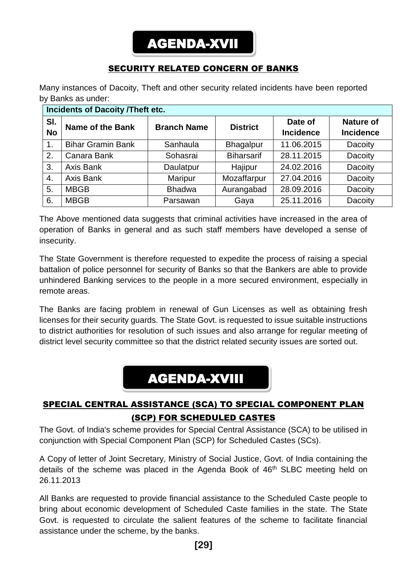# AGENDA-XVII

# SECURITY RELATED CONCERN OF BANKS

Many instances of Dacoity, Theft and other security related incidents have been reported by Banks as under:

| <b>Incidents of Dacoity /Theft etc.</b> |                          |                    |                   |                             |                                      |  |  |  |  |
|-----------------------------------------|--------------------------|--------------------|-------------------|-----------------------------|--------------------------------------|--|--|--|--|
| SI.<br><b>No</b>                        | <b>Name of the Bank</b>  | <b>Branch Name</b> | <b>District</b>   | Date of<br><b>Incidence</b> | <b>Nature of</b><br><b>Incidence</b> |  |  |  |  |
| $\mathbf 1$ .                           | <b>Bihar Gramin Bank</b> | Sanhaula           | <b>Bhagalpur</b>  | 11.06.2015                  | Dacoity                              |  |  |  |  |
| 2.                                      | Canara Bank              | Sohasrai           | <b>Biharsarif</b> | 28.11.2015                  | Dacoity                              |  |  |  |  |
| $\mathbf{3}$                            | Axis Bank                | Daulatpur          | Hajipur           | 24.02.2016                  | Dacoity                              |  |  |  |  |
| 4.                                      | Axis Bank                | <b>Maripur</b>     | Mozaffarpur       | 27.04.2016                  | Dacoity                              |  |  |  |  |
| 5.                                      | <b>MBGB</b>              | <b>Bhadwa</b>      | Aurangabad        | 28.09.2016                  | Dacoity                              |  |  |  |  |
| 6.                                      | <b>MBGB</b>              | Parsawan           | Gaya              | 25.11.2016                  | Dacoity                              |  |  |  |  |

The Above mentioned data suggests that criminal activities have increased in the area of operation of Banks in general and as such staff members have developed a sense of insecurity.

The State Government is therefore requested to expedite the process of raising a special battalion of police personnel for security of Banks so that the Bankers are able to provide unhindered Banking services to the people in a more secured environment, especially in remote areas.

The Banks are facing problem in renewal of Gun Licenses as well as obtaining fresh licenses for their security guards. The State Govt. is requested to issue suitable instructions to district authorities for resolution of such issues and also arrange for regular meeting of district level security committee so that the district related security issues are sorted out.

# AGENDA-XVIII

# SPECIAL CENTRAL ASSISTANCE (SCA) TO SPECIAL COMPONENT PLAN (SCP) FOR SCHEDULED CASTES

The Govt. of India's scheme provides for Special Central Assistance (SCA) to be utilised in conjunction with Special Component Plan (SCP) for Scheduled Castes (SCs).

A Copy of letter of Joint Secretary, Ministry of Social Justice, Govt. of India containing the details of the scheme was placed in the Agenda Book of 46<sup>th</sup> SLBC meeting held on 26.11.2013

All Banks are requested to provide financial assistance to the Scheduled Caste people to bring about economic development of Scheduled Caste families in the state. The State Govt. is requested to circulate the salient features of the scheme to facilitate financial assistance under the scheme, by the banks.